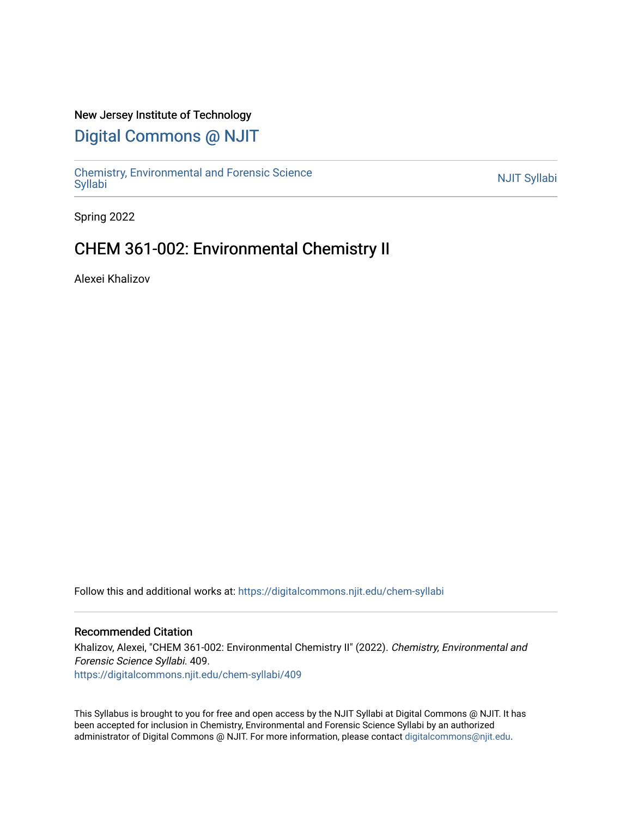### New Jersey Institute of Technology

## [Digital Commons @ NJIT](https://digitalcommons.njit.edu/)

Chemistry, Environmental and Forensic Science<br>Syllabi

Spring 2022

## CHEM 361-002: Environmental Chemistry II

Alexei Khalizov

Follow this and additional works at: [https://digitalcommons.njit.edu/chem-syllabi](https://digitalcommons.njit.edu/chem-syllabi?utm_source=digitalcommons.njit.edu%2Fchem-syllabi%2F409&utm_medium=PDF&utm_campaign=PDFCoverPages) 

#### Recommended Citation

Khalizov, Alexei, "CHEM 361-002: Environmental Chemistry II" (2022). Chemistry, Environmental and Forensic Science Syllabi. 409. [https://digitalcommons.njit.edu/chem-syllabi/409](https://digitalcommons.njit.edu/chem-syllabi/409?utm_source=digitalcommons.njit.edu%2Fchem-syllabi%2F409&utm_medium=PDF&utm_campaign=PDFCoverPages) 

This Syllabus is brought to you for free and open access by the NJIT Syllabi at Digital Commons @ NJIT. It has been accepted for inclusion in Chemistry, Environmental and Forensic Science Syllabi by an authorized administrator of Digital Commons @ NJIT. For more information, please contact [digitalcommons@njit.edu.](mailto:digitalcommons@njit.edu)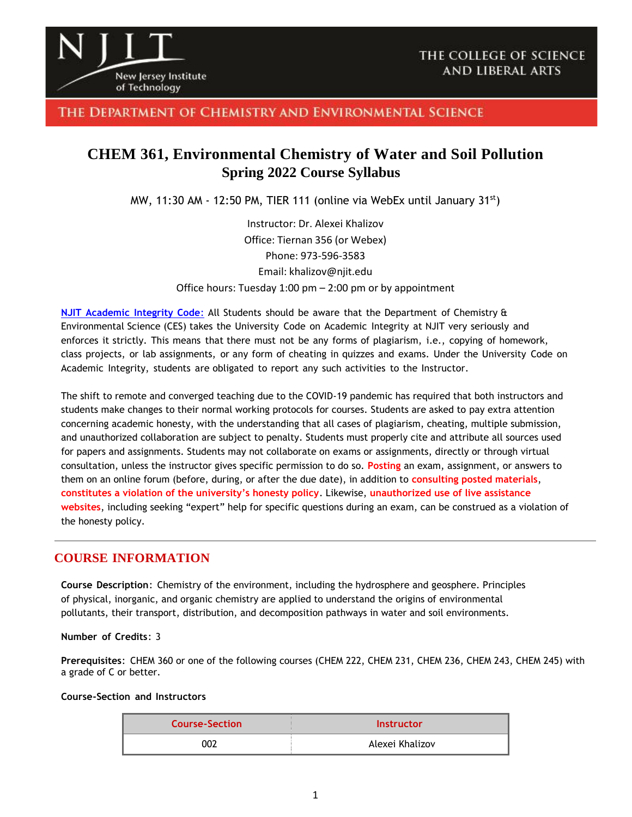

### THE DEPARTMENT OF CHEMISTRY AND ENVIRONMENTAL SCIENCE

## **CHEM 361, Environmental Chemistry of Water and Soil Pollution Spring 2022 Course Syllabus**

MW, 11:30 AM - 12:50 PM, TIER 111 (online via WebEx until January  $31^{st}$ )

Instructor: Dr. Alexei Khalizov Office: Tiernan 356 (or Webex) Phone: 973-596-3583 Email: khalizov@njit.edu Office hours: Tuesday 1:00 pm – 2:00 pm or by appointment

**NJIT [Academic](https://www.njit.edu/policies/sites/policies/files/academic-integrity-code.pdf) Integrity Code**: All Students should be aware that the Department of Chemistry & Environmental Science (CES) takes the University Code on Academic Integrity at NJIT very seriously and enforces it strictly. This means that there must not be any forms of plagiarism, i.e., copying of homework, class projects, or lab assignments, or any form of cheating in quizzes and exams. Under the University Code on Academic Integrity, students are obligated to report any such activities to the Instructor.

The shift to remote and converged teaching due to the COVID-19 pandemic has required that both instructors and students make changes to their normal working protocols for courses. Students are asked to pay extra attention concerning academic honesty, with the understanding that all cases of plagiarism, cheating, multiple submission, and unauthorized collaboration are subject to penalty. Students must properly cite and attribute all sources used for papers and assignments. Students may not collaborate on exams or assignments, directly or through virtual consultation, unless the instructor gives specific permission to do so. **Posting** an exam, assignment, or answers to them on an online forum (before, during, or after the due date), in addition to **consulting posted materials**, **constitutes a violation of the university's honesty policy**. Likewise, **unauthorized use of live assistance websites**, including seeking "expert" help for specific questions during an exam, can be construed as a violation of the honesty policy.

## **COURSE INFORMATION**

**Course Description**: Chemistry of the environment, including the hydrosphere and geosphere. Principles of physical, inorganic, and organic chemistry are applied to understand the origins of environmental pollutants, their transport, distribution, and decomposition pathways in water and soil environments.

#### **Number of Credits**: 3

**Prerequisites**: CHEM 360 or one of the following courses (CHEM 222, CHEM 231, CHEM 236, CHEM 243, CHEM 245) with a grade of C or better.

#### **Course-Section and Instructors**

| <b>Course-Section</b> | <b>Instructor</b> |
|-----------------------|-------------------|
| 002                   | Alexei Khalizov   |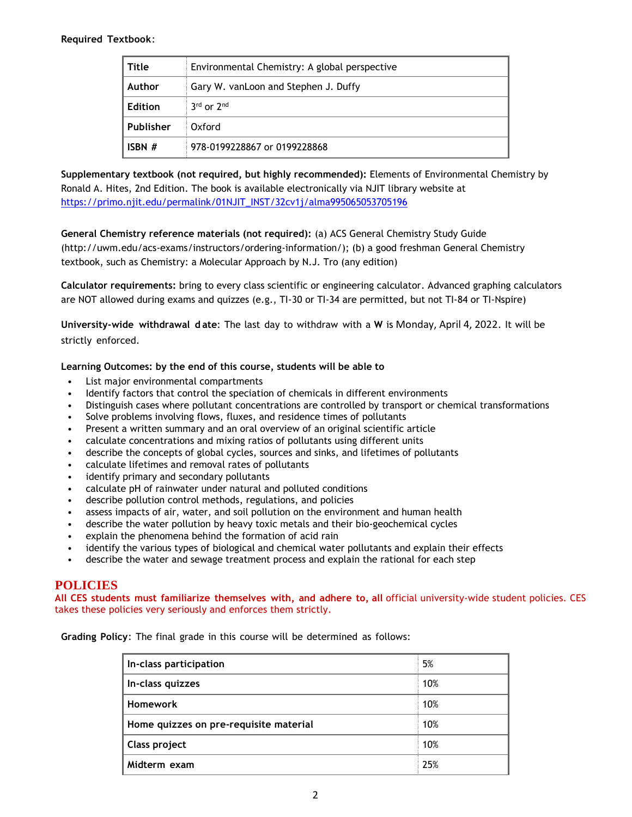#### **Required Textbook**:

| Title          | Environmental Chemistry: A global perspective |  |
|----------------|-----------------------------------------------|--|
| Author         | Gary W. vanLoon and Stephen J. Duffy          |  |
| <b>Edition</b> | $3rd$ or $2nd$                                |  |
| Publisher      | Oxford                                        |  |
| ISBN $#$       | 978-0199228867 or 0199228868                  |  |

**Supplementary textbook (not required, but highly recommended):** Elements of Environmental Chemistry by Ronald A. Hites, 2nd Edition. The book is available electronically via NJIT library website at [https://primo.njit.edu/permalink/01NJIT\\_INST/32cv1j/alma995065053705196](https://primo.njit.edu/permalink/01NJIT_INST/32cv1j/alma995065053705196)

## **General Chemistry reference materials (not required):** (a) ACS General Chemistry Study Guide

(http://uwm.edu/acs-exams/instructors/ordering-information/); (b) a good freshman General Chemistry textbook, such as Chemistry: a Molecular Approach by N.J. Tro (any edition)

**Calculator requirements:** bring to every class scientific or engineering calculator. Advanced graphing calculators are NOT allowed during exams and quizzes (e.g., TI-30 or TI-34 are permitted, but not TI-84 or TI-Nspire)

**University-wide withdrawal d ate**: The last day to withdraw with a **W** is Monday, April 4, 2022. It will be strictly enforced.

#### **Learning Outcomes: by the end of this course, students will be able to**

- List major environmental compartments
- Identify factors that control the speciation of chemicals in different environments
- Distinguish cases where pollutant concentrations are controlled by transport or chemical transformations
- Solve problems involving flows, fluxes, and residence times of pollutants
- Present a written summary and an oral overview of an original scientific article
- calculate concentrations and mixing ratios of pollutants using different units
- describe the concepts of global cycles, sources and sinks, and lifetimes of pollutants
- calculate lifetimes and removal rates of pollutants
- identify primary and secondary pollutants
- calculate pH of rainwater under natural and polluted conditions
- describe pollution control methods, regulations, and policies
- assess impacts of air, water, and soil pollution on the environment and human health
- describe the water pollution by heavy toxic metals and their bio-geochemical cycles
- explain the phenomena behind the formation of acid rain
- identify the various types of biological and chemical water pollutants and explain their effects
- describe the water and sewage treatment process and explain the rational for each step

### **POLICIES**

**All CES students must familiarize themselves with, and adhere to, all** official university-wide student policies. CES takes these policies very seriously and enforces them strictly.

**Grading Policy**: The final grade in this course will be determined as follows:

| In-class participation                 | 5%  |
|----------------------------------------|-----|
| In-class quizzes                       | 10% |
| <b>Homework</b>                        | 10% |
| Home quizzes on pre-requisite material | 10% |
| Class project                          | 10% |
| Midterm exam                           | 25% |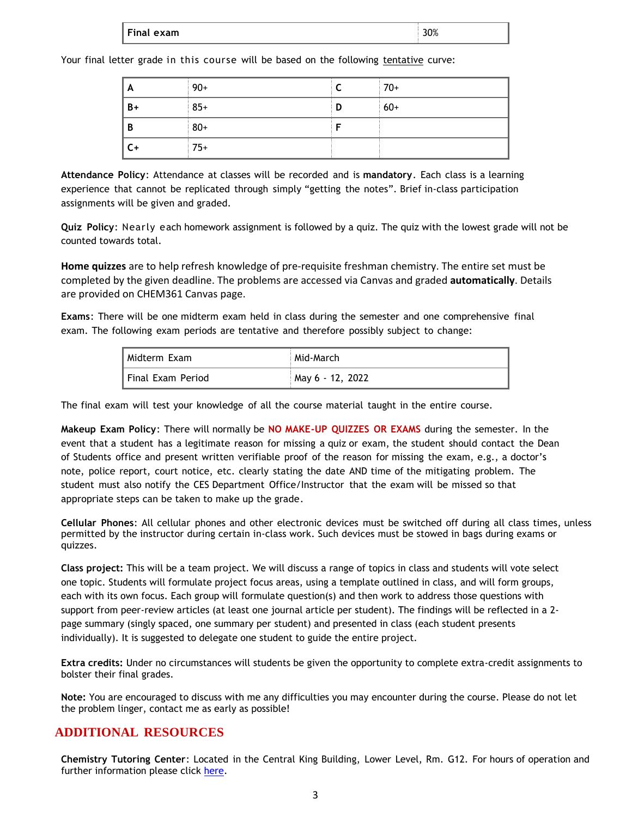| l Final exam | $\sim$ |
|--------------|--------|
|              | 1 / C  |

Your final letter grade in this course will be based on the following tentative curve:

| A            | $90+$ |   | $70+$ |
|--------------|-------|---|-------|
| $B+$         | $85+$ | D | $60+$ |
| B            | $80+$ |   |       |
| $\mathsf{C}$ | $75+$ |   |       |

**Attendance Policy**: Attendance at classes will be recorded and is **mandatory**. Each class is a learning experience that cannot be replicated through simply "getting the notes". Brief in-class participation assignments will be given and graded.

**Quiz Policy**: Nearly each homework assignment is followed by a quiz. The quiz with the lowest grade will not be counted towards total.

**Home quizzes** are to help refresh knowledge of pre-requisite freshman chemistry. The entire set must be completed by the given deadline. The problems are accessed via Canvas and graded **automatically**. Details are provided on CHEM361 Canvas page.

**Exams**: There will be one midterm exam held in class during the semester and one comprehensive final exam. The following exam periods are tentative and therefore possibly subject to change:

| l Midterm Exam    | Mid-March: N     |
|-------------------|------------------|
| Final Exam Period | May 6 - 12, 2022 |

The final exam will test your knowledge of all the course material taught in the entire course.

**Makeup Exam Policy**: There will normally be **NO MAKE-UP QUIZZES OR EXAMS** during the semester. In the event that a student has a legitimate reason for missing a quiz or exam, the student should contact the Dean of Students office and present written verifiable proof of the reason for missing the exam, e.g., a doctor's note, police report, court notice, etc. clearly stating the date AND time of the mitigating problem. The student must also notify the CES Department Office/Instructor that the exam will be missed so that appropriate steps can be taken to make up the grade.

**Cellular Phones**: All cellular phones and other electronic devices must be switched off during all class times, unless permitted by the instructor during certain in-class work. Such devices must be stowed in bags during exams or quizzes.

**Class project:** This will be a team project. We will discuss a range of topics in class and students will vote select one topic. Students will formulate project focus areas, using a template outlined in class, and will form groups, each with its own focus. Each group will formulate question(s) and then work to address those questions with support from peer-review articles (at least one journal article per student). The findings will be reflected in a 2 page summary (singly spaced, one summary per student) and presented in class (each student presents individually). It is suggested to delegate one student to guide the entire project.

**Extra credits:** Under no circumstances will students be given the opportunity to complete extra-credit assignments to bolster their final grades.

**Note:** You are encouraged to discuss with me any difficulties you may encounter during the course. Please do not let the problem linger, contact me as early as possible!

## **ADDITIONAL RESOURCES**

**Chemistry Tutoring Center**: Located in the Central King Building, Lower Level, Rm. G12. For hours of operation and further information please click [here.](http://chemistry.njit.edu/students/)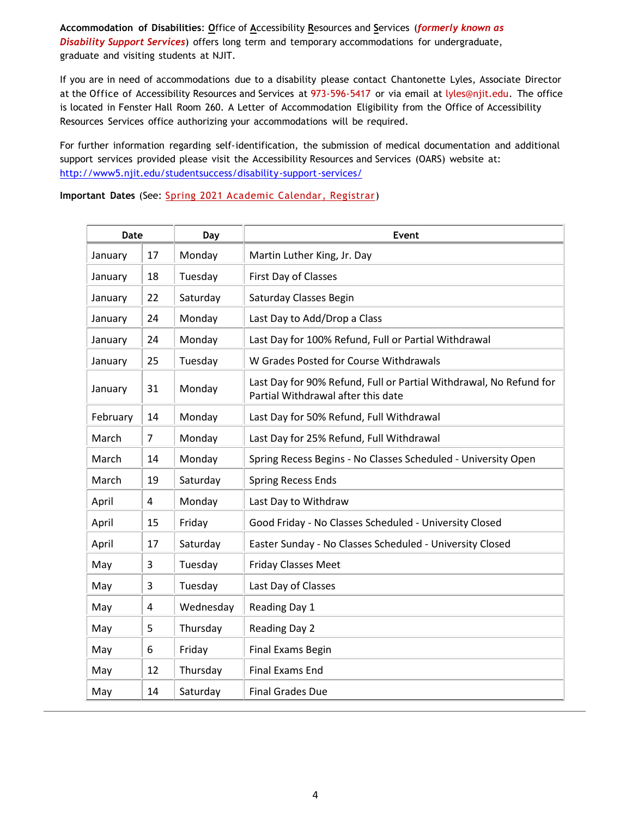**Accommodation of Disabilities**: **O**ffice of **A**ccessibility **R**esources and **S**ervices (*formerly known as Disability Support Services*) offers long term and temporary accommodations for undergraduate, graduate and visiting students at NJIT.

If you are in need of accommodations due to a disability please contact Chantonette Lyles, Associate Director at the Office of Accessibility Resources and Services at 973-596-5417 or via email at [lyles@njit.edu.](mailto:lyles@njit.edu) The office is located in Fenster Hall Room 260. A Letter of Accommodation Eligibility from the Office of Accessibility Resources Services office authorizing your accommodations will be required.

For further information regarding self-identification, the submission of medical documentation and additional support services provided please visit the Accessibility Resources and Services (OARS) website at: [http://www5.njit.edu/studentsuccess/disability-support-services/](http://www.njit.edu/studentsuccess/accessibility/)

**Important Dates** (See: Spring 2021 [Academic Calendar, Registrar\)](https://www5.njit.edu/registrar/calendars/)

| Date     |    | Day       | Event                                                                                                    |
|----------|----|-----------|----------------------------------------------------------------------------------------------------------|
| January  | 17 | Monday    | Martin Luther King, Jr. Day                                                                              |
| January  | 18 | Tuesday   | First Day of Classes                                                                                     |
| January  | 22 | Saturday  | Saturday Classes Begin                                                                                   |
| January  | 24 | Monday    | Last Day to Add/Drop a Class                                                                             |
| January  | 24 | Monday    | Last Day for 100% Refund, Full or Partial Withdrawal                                                     |
| January  | 25 | Tuesday   | W Grades Posted for Course Withdrawals                                                                   |
| January  | 31 | Monday    | Last Day for 90% Refund, Full or Partial Withdrawal, No Refund for<br>Partial Withdrawal after this date |
| February | 14 | Monday    | Last Day for 50% Refund, Full Withdrawal                                                                 |
| March    | 7  | Monday    | Last Day for 25% Refund, Full Withdrawal                                                                 |
| March    | 14 | Monday    | Spring Recess Begins - No Classes Scheduled - University Open                                            |
| March    | 19 | Saturday  | <b>Spring Recess Ends</b>                                                                                |
| April    | 4  | Monday    | Last Day to Withdraw                                                                                     |
| April    | 15 | Friday    | Good Friday - No Classes Scheduled - University Closed                                                   |
| April    | 17 | Saturday  | Easter Sunday - No Classes Scheduled - University Closed                                                 |
| May      | 3  | Tuesday   | <b>Friday Classes Meet</b>                                                                               |
| May      | 3  | Tuesday   | Last Day of Classes                                                                                      |
| May      | 4  | Wednesday | Reading Day 1                                                                                            |
| May      | 5  | Thursday  | Reading Day 2                                                                                            |
| May      | 6  | Friday    | <b>Final Exams Begin</b>                                                                                 |
| May      | 12 | Thursday  | <b>Final Exams End</b>                                                                                   |
| May      | 14 | Saturday  | <b>Final Grades Due</b>                                                                                  |